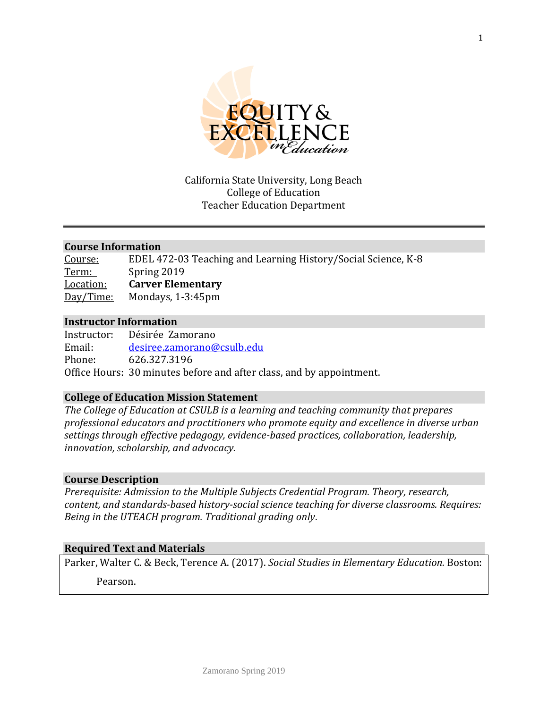

#### California State University, Long Beach College of Education Teacher Education Department

#### **Course Information**

| Course:   | EDEL 472-03 Teaching and Learning History/Social Science, K-8 |
|-----------|---------------------------------------------------------------|
| Term:     | Spring 2019                                                   |
| Location: | <b>Carver Elementary</b>                                      |
| Day/Time: | Mondays, 1-3:45pm                                             |

#### **Instructor Information**

Instructor: Désirée Zamorano Email: [desiree.zamorano@csulb.edu](mailto:desiree.zamorano@csulb.edu) Phone: 626.327.3196 Office Hours: 30 minutes before and after class, and by appointment.

#### **College of Education Mission Statement**

*The College of Education at CSULB is a learning and teaching community that prepares professional educators and practitioners who promote equity and excellence in diverse urban settings through effective pedagogy, evidence-based practices, collaboration, leadership, innovation, scholarship, and advocacy.*

#### **Course Description**

*Prerequisite: Admission to the Multiple Subjects Credential Program. Theory, research, content, and standards-based history-social science teaching for diverse classrooms. Requires: Being in the UTEACH program. Traditional grading only*.

#### **Required Text and Materials**

Parker, Walter C. & Beck, Terence A. (2017). *Social Studies in Elementary Education.* Boston:

Pearson.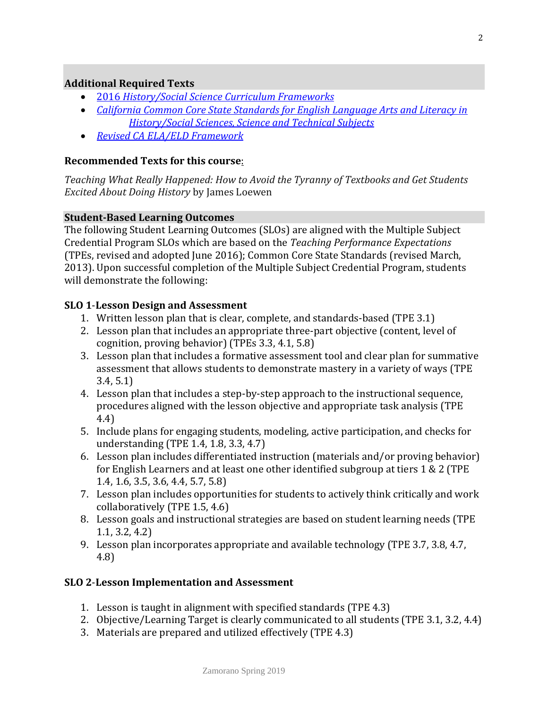#### **Additional Required Texts**

- 2016 *[History/Social Science Curriculum Frameworks](https://www.cde.ca.gov/ci/hs/cf/hssframework.asp)*
- *[California Common Core State Standards for English Language Arts and Literacy in](https://www.cde.ca.gov/be/st/ss/documents/finalelaccssstandards.pdf) [History/Social Sciences, Science and Technical Subjects](https://www.cde.ca.gov/be/st/ss/documents/finalelaccssstandards.pdf)*
- *[Revised CA ELA/ELD Framework](https://www.cde.ca.gov/ci/rl/cf/elaeldfrmwrksbeadopted.asp)*

#### **Recommended Texts for this course**:

*Teaching What Really Happened: How to Avoid the Tyranny of Textbooks and Get Students Excited About Doing History* by James Loewen

#### **Student-Based Learning Outcomes**

The following Student Learning Outcomes (SLOs) are aligned with the Multiple Subject Credential Program SLOs which are based on the *Teaching Performance Expectations* (TPEs, revised and adopted June 2016); Common Core State Standards (revised March, 2013). Upon successful completion of the Multiple Subject Credential Program, students will demonstrate the following:

#### **SLO 1**-**Lesson Design and Assessment**

- 1. Written lesson plan that is clear, complete, and standards-based (TPE 3.1)
- 2. Lesson plan that includes an appropriate three-part objective (content, level of cognition, proving behavior) (TPEs 3.3, 4.1, 5.8)
- 3. Lesson plan that includes a formative assessment tool and clear plan for summative assessment that allows students to demonstrate mastery in a variety of ways (TPE 3.4, 5.1)
- 4. Lesson plan that includes a step-by-step approach to the instructional sequence, procedures aligned with the lesson objective and appropriate task analysis (TPE 4.4)
- 5. Include plans for engaging students, modeling, active participation, and checks for understanding (TPE 1.4, 1.8, 3.3, 4.7)
- 6. Lesson plan includes differentiated instruction (materials and/or proving behavior) for English Learners and at least one other identified subgroup at tiers 1 & 2 (TPE 1.4, 1.6, 3.5, 3.6, 4.4, 5.7, 5.8)
- 7. Lesson plan includes opportunities for students to actively think critically and work collaboratively (TPE 1.5, 4.6)
- 8. Lesson goals and instructional strategies are based on student learning needs (TPE 1.1, 3.2, 4.2)
- 9. Lesson plan incorporates appropriate and available technology (TPE 3.7, 3.8, 4.7, 4.8)

#### **SLO 2**-**Lesson Implementation and Assessment**

- 1. Lesson is taught in alignment with specified standards (TPE 4.3)
- 2. Objective/Learning Target is clearly communicated to all students (TPE 3.1, 3.2, 4.4)
- 3. Materials are prepared and utilized effectively (TPE 4.3)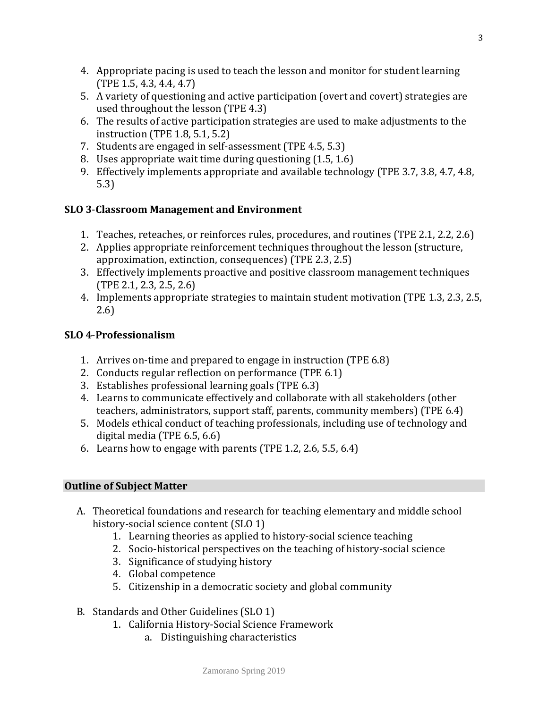- 4. Appropriate pacing is used to teach the lesson and monitor for student learning (TPE 1.5, 4.3, 4.4, 4.7)
- 5. A variety of questioning and active participation (overt and covert) strategies are used throughout the lesson (TPE 4.3)
- 6. The results of active participation strategies are used to make adjustments to the instruction (TPE 1.8, 5.1, 5.2)
- 7. Students are engaged in self-assessment (TPE 4.5, 5.3)
- 8. Uses appropriate wait time during questioning (1.5, 1.6)
- 9. Effectively implements appropriate and available technology (TPE 3.7, 3.8, 4.7, 4.8, 5.3)

# **SLO 3**-**Classroom Management and Environment**

- 1. Teaches, reteaches, or reinforces rules, procedures, and routines (TPE 2.1, 2.2, 2.6)
- 2. Applies appropriate reinforcement techniques throughout the lesson (structure, approximation, extinction, consequences) (TPE 2.3, 2.5)
- 3. Effectively implements proactive and positive classroom management techniques (TPE 2.1, 2.3, 2.5, 2.6)
- 4. Implements appropriate strategies to maintain student motivation (TPE 1.3, 2.3, 2.5, 2.6)

# **SLO 4**-**Professionalism**

- 1. Arrives on-time and prepared to engage in instruction (TPE 6.8)
- 2. Conducts regular reflection on performance (TPE 6.1)
- 3. Establishes professional learning goals (TPE 6.3)
- 4. Learns to communicate effectively and collaborate with all stakeholders (other teachers, administrators, support staff, parents, community members) (TPE 6.4)
- 5. Models ethical conduct of teaching professionals, including use of technology and digital media (TPE 6.5, 6.6)
- 6. Learns how to engage with parents (TPE 1.2, 2.6, 5.5, 6.4)

# **Outline of Subject Matter**

- A. Theoretical foundations and research for teaching elementary and middle school history-social science content (SLO 1)
	- 1. Learning theories as applied to history-social science teaching
	- 2. Socio-historical perspectives on the teaching of history-social science
	- 3. Significance of studying history
	- 4. Global competence
	- 5. Citizenship in a democratic society and global community
- B. Standards and Other Guidelines (SLO 1)
	- 1. California History-Social Science Framework
		- a. Distinguishing characteristics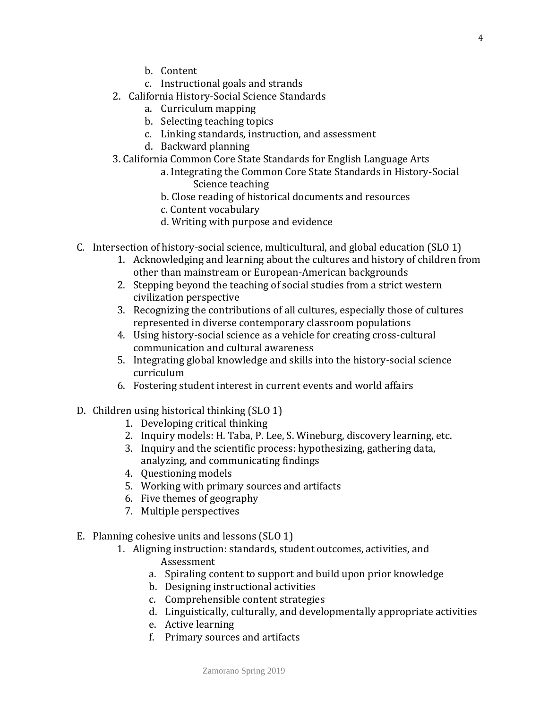- b. Content
- c. Instructional goals and strands
- 2. California History-Social Science Standards
	- a. Curriculum mapping
	- b. Selecting teaching topics
	- c. Linking standards, instruction, and assessment
	- d. Backward planning
- 3. California Common Core State Standards for English Language Arts
	- a. Integrating the Common Core State Standards in History-Social Science teaching
	- b. Close reading of historical documents and resources
	- c. Content vocabulary
	- d. Writing with purpose and evidence
- C. Intersection of history-social science, multicultural, and global education (SLO 1)
	- 1. Acknowledging and learning about the cultures and history of children from other than mainstream or European-American backgrounds
	- 2. Stepping beyond the teaching of social studies from a strict western civilization perspective
	- 3. Recognizing the contributions of all cultures, especially those of cultures represented in diverse contemporary classroom populations
	- 4. Using history-social science as a vehicle for creating cross-cultural communication and cultural awareness
	- 5. Integrating global knowledge and skills into the history-social science curriculum
	- 6. Fostering student interest in current events and world affairs
- D. Children using historical thinking (SLO 1)
	- 1. Developing critical thinking
	- 2. Inquiry models: H. Taba, P. Lee, S. Wineburg, discovery learning, etc.
	- 3. Inquiry and the scientific process: hypothesizing, gathering data, analyzing, and communicating findings
	- 4. Questioning models
	- 5. Working with primary sources and artifacts
	- 6. Five themes of geography
	- 7. Multiple perspectives
- E. Planning cohesive units and lessons (SLO 1)
	- 1. Aligning instruction: standards, student outcomes, activities, and Assessment
		- a. Spiraling content to support and build upon prior knowledge
		- b. Designing instructional activities
		- c. Comprehensible content strategies
		- d. Linguistically, culturally, and developmentally appropriate activities
		- e. Active learning
		- f. Primary sources and artifacts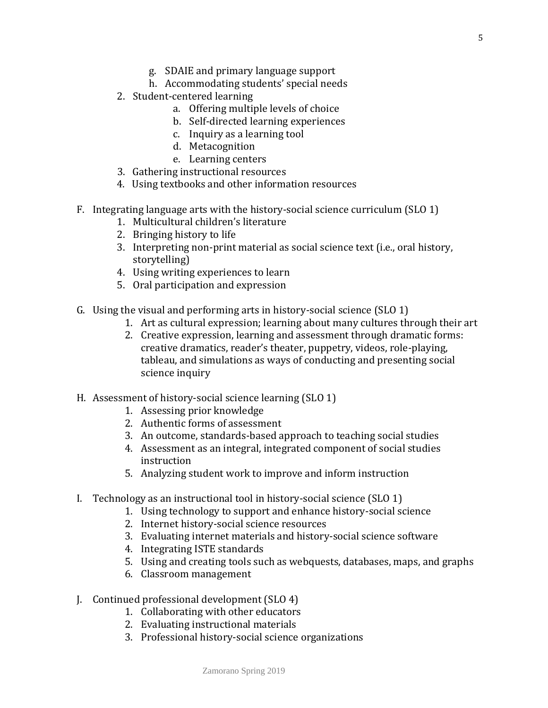- g. SDAIE and primary language support
- h. Accommodating students' special needs
- 2. Student-centered learning
	- a. Offering multiple levels of choice
	- b. Self-directed learning experiences
	- c. Inquiry as a learning tool
	- d. Metacognition
	- e. Learning centers
- 3. Gathering instructional resources
- 4. Using textbooks and other information resources
- F. Integrating language arts with the history-social science curriculum (SLO 1)
	- 1. Multicultural children's literature
	- 2. Bringing history to life
	- 3. Interpreting non-print material as social science text (i.e., oral history, storytelling)
	- 4. Using writing experiences to learn
	- 5. Oral participation and expression
- G. Using the visual and performing arts in history-social science (SLO 1)
	- 1. Art as cultural expression; learning about many cultures through their art
	- 2. Creative expression, learning and assessment through dramatic forms: creative dramatics, reader's theater, puppetry, videos, role-playing, tableau, and simulations as ways of conducting and presenting social science inquiry
- H. Assessment of history-social science learning (SLO 1)
	- 1. Assessing prior knowledge
	- 2. Authentic forms of assessment
	- 3. An outcome, standards-based approach to teaching social studies
	- 4. Assessment as an integral, integrated component of social studies instruction
	- 5. Analyzing student work to improve and inform instruction
- I. Technology as an instructional tool in history-social science (SLO 1)
	- 1. Using technology to support and enhance history-social science
	- 2. Internet history-social science resources
	- 3. Evaluating internet materials and history-social science software
	- 4. Integrating ISTE standards
	- 5. Using and creating tools such as webquests, databases, maps, and graphs
	- 6. Classroom management
- J. Continued professional development (SLO 4)
	- 1. Collaborating with other educators
	- 2. Evaluating instructional materials
	- 3. Professional history-social science organizations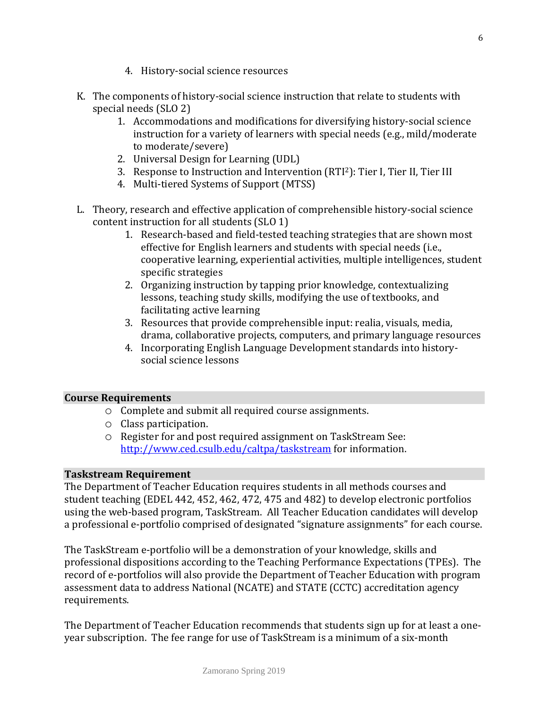- 4. History-social science resources
- K. The components of history-social science instruction that relate to students with special needs (SLO 2)
	- 1. Accommodations and modifications for diversifying history-social science instruction for a variety of learners with special needs (e.g., mild/moderate to moderate/severe)
	- 2. Universal Design for Learning (UDL)
	- 3. Response to Instruction and Intervention (RTI2): Tier I, Tier II, Tier III
	- 4. Multi-tiered Systems of Support (MTSS)
- L. Theory, research and effective application of comprehensible history-social science content instruction for all students (SLO 1)
	- 1. Research-based and field-tested teaching strategies that are shown most effective for English learners and students with special needs (i.e., cooperative learning, experiential activities, multiple intelligences, student specific strategies
	- 2. Organizing instruction by tapping prior knowledge, contextualizing lessons, teaching study skills, modifying the use of textbooks, and facilitating active learning
	- 3. Resources that provide comprehensible input: realia, visuals, media, drama, collaborative projects, computers, and primary language resources
	- 4. Incorporating English Language Development standards into historysocial science lessons

#### **Course Requirements**

- o Complete and submit all required course assignments.
- o Class participation.
- o Register for and post required assignment on TaskStream See: <http://www.ced.csulb.edu/caltpa/taskstream> for information.

#### **Taskstream Requirement**

The Department of Teacher Education requires students in all methods courses and student teaching (EDEL 442, 452, 462, 472, 475 and 482) to develop electronic portfolios using the web-based program, TaskStream. All Teacher Education candidates will develop a professional e-portfolio comprised of designated "signature assignments" for each course.

The TaskStream e-portfolio will be a demonstration of your knowledge, skills and professional dispositions according to the Teaching Performance Expectations (TPEs). The record of e-portfolios will also provide the Department of Teacher Education with program assessment data to address National (NCATE) and STATE (CCTC) accreditation agency requirements.

The Department of Teacher Education recommends that students sign up for at least a oneyear subscription. The fee range for use of TaskStream is a minimum of a six-month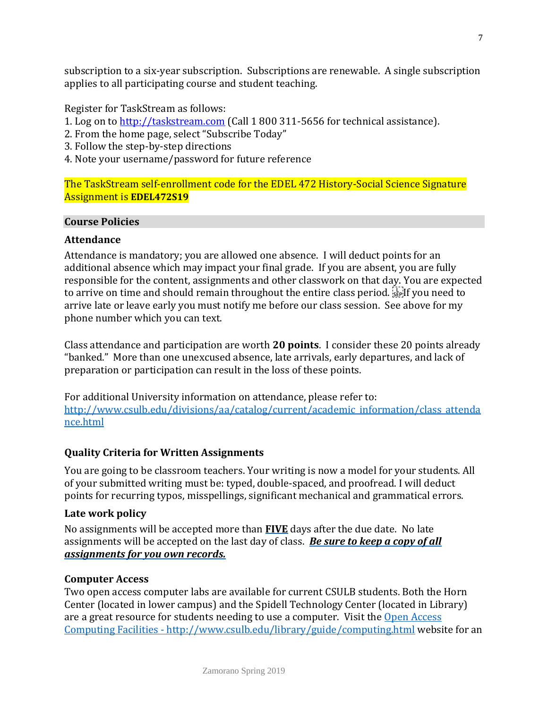subscription to a six-year subscription. Subscriptions are renewable. A single subscription applies to all participating course and student teaching.

Register for TaskStream as follows:

- 1. Log on to [http://taskstream.com](http://taskstream.com/) (Call 1 800 311-5656 for technical assistance).
- 2. From the home page, select "Subscribe Today"
- 3. Follow the step-by-step directions
- 4. Note your username/password for future reference

The TaskStream self-enrollment code for the EDEL 472 History-Social Science Signature Assignment is **EDEL472S19**

#### **Course Policies**

# **Attendance**

Attendance is mandatory; you are allowed one absence. I will deduct points for an additional absence which may impact your final grade. If you are absent, you are fully responsible for the content, assignments and other classwork on that day. You are expected to arrive on time and should remain throughout the entire class period. **Fight** you need to arrive late or leave early you must notify me before our class session. See above for my phone number which you can text.

Class attendance and participation are worth **20 points**. I consider these 20 points already "banked." More than one unexcused absence, late arrivals, early departures, and lack of preparation or participation can result in the loss of these points.

For additional University information on attendance, please refer to: [http://www.csulb.edu/divisions/aa/catalog/current/academic\\_information/class\\_attenda](http://www.csulb.edu/divisions/aa/catalog/current/academic_information/class_attendance.html) [nce.html](http://www.csulb.edu/divisions/aa/catalog/current/academic_information/class_attendance.html) 

# **Quality Criteria for Written Assignments**

You are going to be classroom teachers. Your writing is now a model for your students. All of your submitted writing must be: typed, double-spaced, and proofread. I will deduct points for recurring typos, misspellings, significant mechanical and grammatical errors.

# **Late work policy**

No assignments will be accepted more than **FIVE** days after the due date. No late assignments will be accepted on the last day of class. *Be sure to keep a copy of all assignments for you own records.* 

# **Computer Access**

Two open access computer labs are available for current CSULB students. Both the Horn Center (located in lower campus) and the Spidell Technology Center (located in Library) are a great resource for students needing to use a computer. Visit the Open Access Computing Facilities - <http://www.csulb.edu/library/guide/computing.html> website for an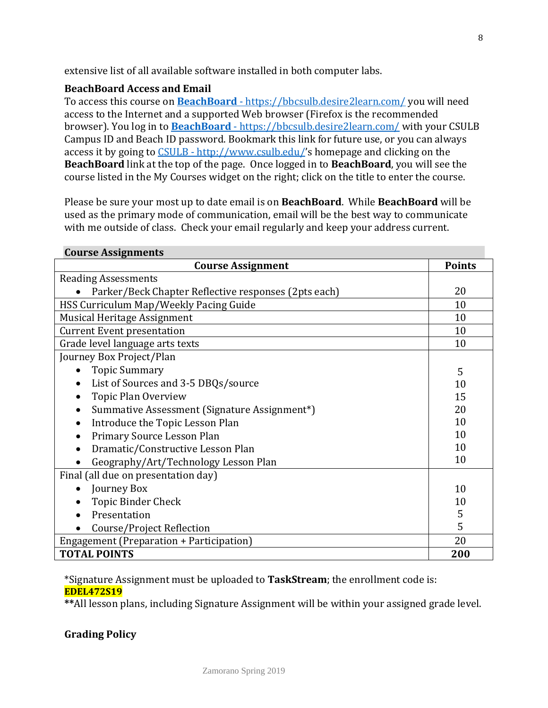extensive list of all available software installed in both computer labs.

#### **BeachBoard Access and Email**

To access this course on **BeachBoard** - https://bbcsulb.desire2learn.com/ you will need access to the Internet and a supported Web browser (Firefox is the recommended browser). You log in to **BeachBoard** - https://bbcsulb.desire2learn.com/ with your CSULB Campus ID and Beach ID password. Bookmark this link for future use, or you can always access it by going to CSULB - http://www.csulb.edu/'s homepage and clicking on the **BeachBoard** link at the top of the page. Once logged in to **BeachBoard**, you will see the course listed in the My Courses widget on the right; click on the title to enter the course.

Please be sure your most up to date email is on **BeachBoard**. While **BeachBoard** will be used as the primary mode of communication, email will be the best way to communicate with me outside of class. Check your email regularly and keep your address current.

| <b>Course Assignments</b>                                 |    |  |  |
|-----------------------------------------------------------|----|--|--|
| <b>Course Assignment</b>                                  |    |  |  |
| <b>Reading Assessments</b>                                |    |  |  |
| Parker/Beck Chapter Reflective responses (2pts each)      | 20 |  |  |
| HSS Curriculum Map/Weekly Pacing Guide                    | 10 |  |  |
| Musical Heritage Assignment                               | 10 |  |  |
| <b>Current Event presentation</b>                         | 10 |  |  |
| Grade level language arts texts                           | 10 |  |  |
| Journey Box Project/Plan                                  |    |  |  |
| <b>Topic Summary</b>                                      | 5  |  |  |
| List of Sources and 3-5 DBQs/source<br>$\bullet$          | 10 |  |  |
| <b>Topic Plan Overview</b>                                | 15 |  |  |
| Summative Assessment (Signature Assignment*)<br>$\bullet$ |    |  |  |
| Introduce the Topic Lesson Plan<br>$\bullet$              |    |  |  |
| Primary Source Lesson Plan                                |    |  |  |
| Dramatic/Constructive Lesson Plan                         |    |  |  |
| Geography/Art/Technology Lesson Plan                      | 10 |  |  |
| Final (all due on presentation day)                       |    |  |  |
| Journey Box<br>$\bullet$                                  | 10 |  |  |
| <b>Topic Binder Check</b>                                 | 10 |  |  |
| Presentation                                              | 5  |  |  |
| Course/Project Reflection                                 | 5  |  |  |
| Engagement (Preparation + Participation)                  | 20 |  |  |
| <b>TOTAL POINTS</b>                                       |    |  |  |

#### \*Signature Assignment must be uploaded to **TaskStream**; the enrollment code is: **EDEL472S19**

**\*\***All lesson plans, including Signature Assignment will be within your assigned grade level.

# **Grading Policy**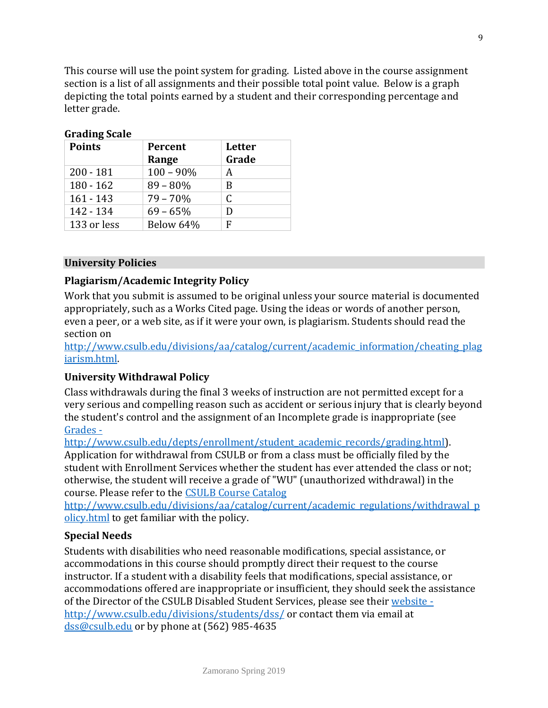This course will use the point system for grading. Listed above in the course assignment section is a list of all assignments and their possible total point value. Below is a graph depicting the total points earned by a student and their corresponding percentage and letter grade.

| $\frac{1}{2}$<br><b>Points</b> | Percent      | <b>Letter</b> |
|--------------------------------|--------------|---------------|
|                                | Range        | Grade         |
| $200 - 181$                    | $100 - 90\%$ | А             |
| $180 - 162$                    | $89 - 80\%$  | B             |
| $161 - 143$                    | $79 - 70%$   | C             |
| 142 - 134                      | $69 - 65%$   | D             |
| 133 or less                    | Below 64%    | F             |

# **Grading Scale**

#### **University Policies**

#### **Plagiarism/Academic Integrity Policy**

Work that you submit is assumed to be original unless your source material is documented appropriately, such as a Works Cited page. Using the ideas or words of another person, even a peer, or a web site, as if it were your own, is plagiarism. Students should read the section on

[http://www.csulb.edu/divisions/aa/catalog/current/academic\\_information/cheating\\_plag](http://www.csulb.edu/divisions/aa/catalog/current/academic_information/cheating_plagiarism.html) [iarism.html.](http://www.csulb.edu/divisions/aa/catalog/current/academic_information/cheating_plagiarism.html)

#### **University Withdrawal Policy**

Class withdrawals during the final 3 weeks of instruction are not permitted except for a very serious and compelling reason such as accident or serious injury that is clearly beyond the student's control and the assignment of an Incomplete grade is inappropriate (see Grades -

http://www.csulb.edu/depts/enrollment/student\_academic\_records/grading.html). Application for withdrawal from CSULB or from a class must be officially filed by the student with Enrollment Services whether the student has ever attended the class or not; otherwise, the student will receive a grade of "WU" (unauthorized withdrawal) in the course. Please refer to the [CSULB Course Catalog](http://www.csulb.edu/divisions/aa/catalog/current/academic_regulations/withdrawal_policy.html) 

[http://www.csulb.edu/divisions/aa/catalog/current/academic\\_regulations/withdrawal\\_p](http://www.csulb.edu/divisions/aa/catalog/current/academic_regulations/withdrawal_policy.html) [olicy.html](http://www.csulb.edu/divisions/aa/catalog/current/academic_regulations/withdrawal_policy.html) to get familiar with the policy.

#### **Special Needs**

Students with disabilities who need reasonable modifications, special assistance, or accommodations in this course should promptly direct their request to the course instructor. If a student with a disability feels that modifications, special assistance, or accommodations offered are inappropriate or insufficient, they should seek the assistance of the Director of the CSULB Disabled Student Services, please see their website http://www.csulb.edu/divisions/students/dss/ or contact them via email at dss@csulb.edu or by phone at (562) 985-4635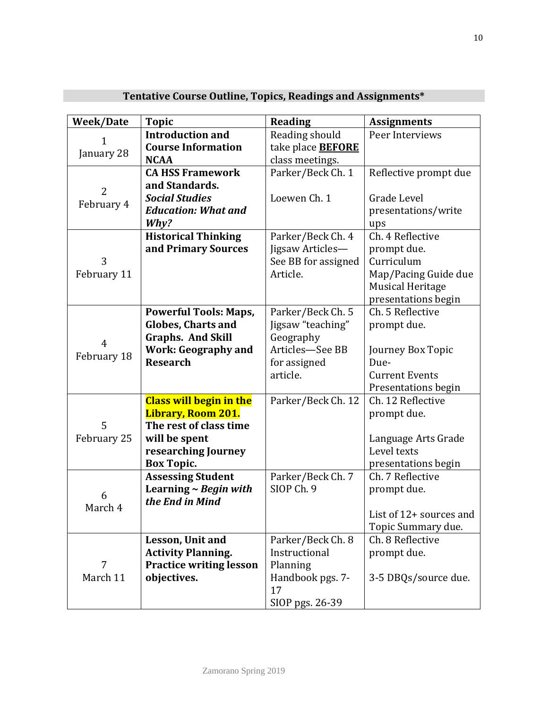| <b>Week/Date</b> | <b>Topic</b>                   | <b>Reading</b>           | <b>Assignments</b>      |
|------------------|--------------------------------|--------------------------|-------------------------|
|                  | <b>Introduction and</b>        | Reading should           | Peer Interviews         |
|                  | <b>Course Information</b>      | take place <b>BEFORE</b> |                         |
| January 28       | <b>NCAA</b>                    | class meetings.          |                         |
|                  | <b>CA HSS Framework</b>        | Parker/Beck Ch. 1        | Reflective prompt due   |
|                  | and Standards.                 |                          |                         |
| $\overline{2}$   | <b>Social Studies</b>          | Loewen Ch. 1             | Grade Level             |
| February 4       | <b>Education: What and</b>     |                          | presentations/write     |
|                  | Why?                           |                          | ups                     |
|                  | <b>Historical Thinking</b>     | Parker/Beck Ch. 4        | Ch. 4 Reflective        |
|                  | and Primary Sources            | Jigsaw Articles-         | prompt due.             |
| 3                |                                | See BB for assigned      | Curriculum              |
| February 11      |                                | Article.                 | Map/Pacing Guide due    |
|                  |                                |                          | <b>Musical Heritage</b> |
|                  |                                |                          | presentations begin     |
|                  | <b>Powerful Tools: Maps,</b>   | Parker/Beck Ch. 5        | Ch. 5 Reflective        |
|                  | <b>Globes, Charts and</b>      | Jigsaw "teaching"        | prompt due.             |
|                  | <b>Graphs. And Skill</b>       | Geography                |                         |
| 4                | <b>Work: Geography and</b>     | Articles-See BB          | Journey Box Topic       |
| February 18      | <b>Research</b>                | for assigned             | Due-                    |
|                  |                                | article.                 | <b>Current Events</b>   |
|                  |                                |                          | Presentations begin     |
|                  | <b>Class will begin in the</b> | Parker/Beck Ch. 12       | Ch. 12 Reflective       |
|                  | Library, Room 201.             |                          | prompt due.             |
| 5                | The rest of class time         |                          |                         |
| February 25      | will be spent                  |                          | Language Arts Grade     |
|                  | researching Journey            |                          | Level texts             |
|                  | <b>Box Topic.</b>              |                          | presentations begin     |
|                  | <b>Assessing Student</b>       | Parker/Beck Ch. 7        | Ch. 7 Reflective        |
|                  | Learning $\sim$ Begin with     | SIOP Ch. 9               | prompt due.             |
| 6                | the End in Mind                |                          |                         |
| March 4          |                                |                          | List of 12+ sources and |
|                  |                                |                          | Topic Summary due.      |
|                  | Lesson, Unit and               | Parker/Beck Ch. 8        | Ch. 8 Reflective        |
|                  | <b>Activity Planning.</b>      | Instructional            | prompt due.             |
| 7                | <b>Practice writing lesson</b> | Planning                 |                         |
| March 11         | objectives.                    | Handbook pgs. 7-         | 3-5 DBQs/source due.    |
|                  |                                | 17                       |                         |
|                  |                                | SIOP pgs. 26-39          |                         |

# **Tentative Course Outline, Topics, Readings and Assignments\***